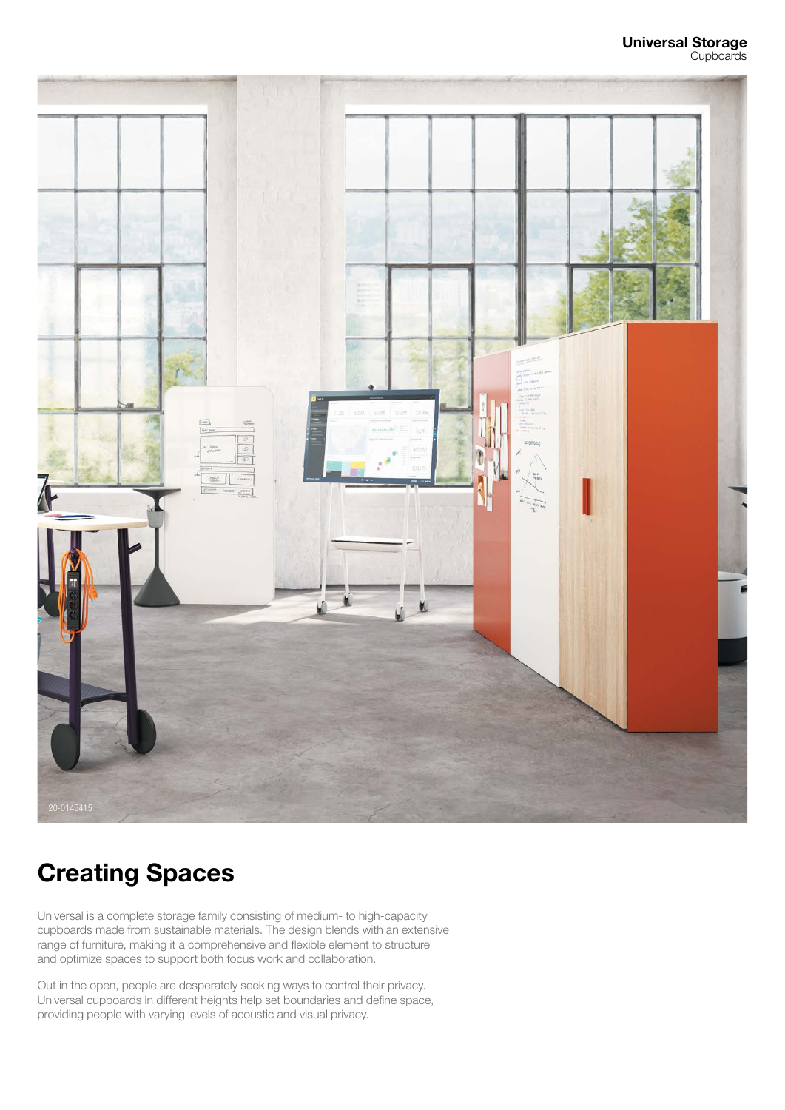

# Creating Spaces

Universal is a complete storage family consisting of medium- to high-capacity cupboards made from sustainable materials. The design blends with an extensive range of furniture, making it a comprehensive and flexible element to structure and optimize spaces to support both focus work and collaboration.

Out in the open, people are desperately seeking ways to control their privacy. Universal cupboards in different heights help set boundaries and define space, providing people with varying levels of acoustic and visual privacy.